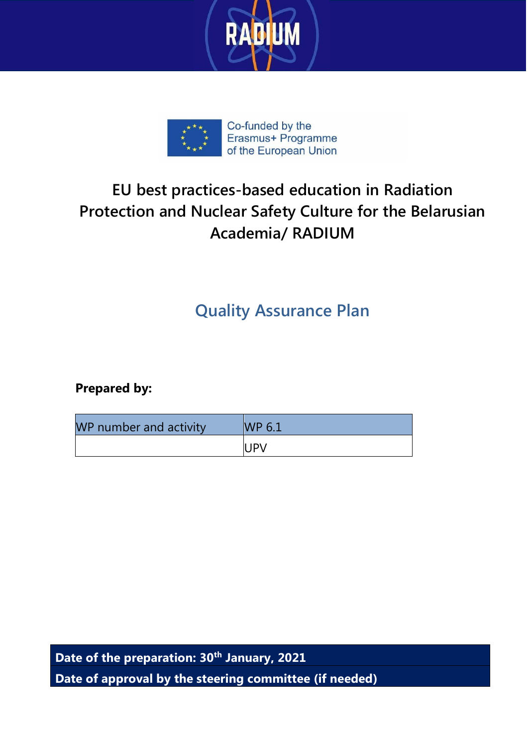



### **EU best practices-based education in Radiation Protection and Nuclear Safety Culture for the Belarusian Academia/ RADIUM**

### **Quality Assurance Plan**

**Prepared by:**

| WP number and activity | WP 6.1 |
|------------------------|--------|
|                        | II IPV |

**Date of the preparation: 30th January, 2021 Date of approval by the steering committee (if needed)**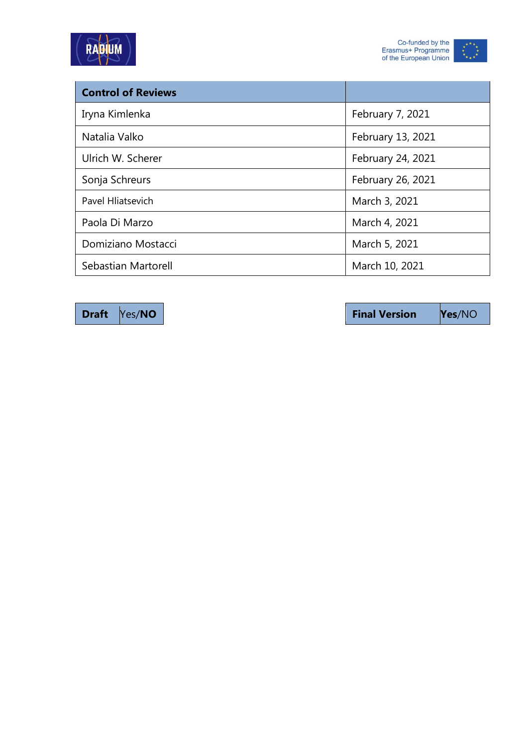



| <b>Control of Reviews</b> |                   |
|---------------------------|-------------------|
| Iryna Kimlenka            | February 7, 2021  |
| Natalia Valko             | February 13, 2021 |
| Ulrich W. Scherer         | February 24, 2021 |
| Sonja Schreurs            | February 26, 2021 |
| <b>Pavel Hliatsevich</b>  | March 3, 2021     |
| Paola Di Marzo            | March 4, 2021     |
| Domiziano Mostacci        | March 5, 2021     |
| Sebastian Martorell       | March 10, 2021    |

**Draft**  $\sqrt{Yes/NO}$  **Properties Properties Properties Properties Properties Properties Properties Properties Properties Properties Properties Properties Properties Properties Properties Properti**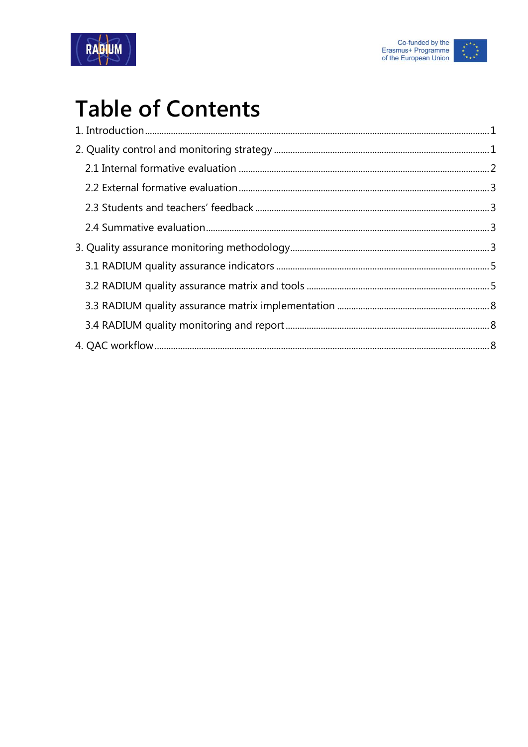



## **Table of Contents**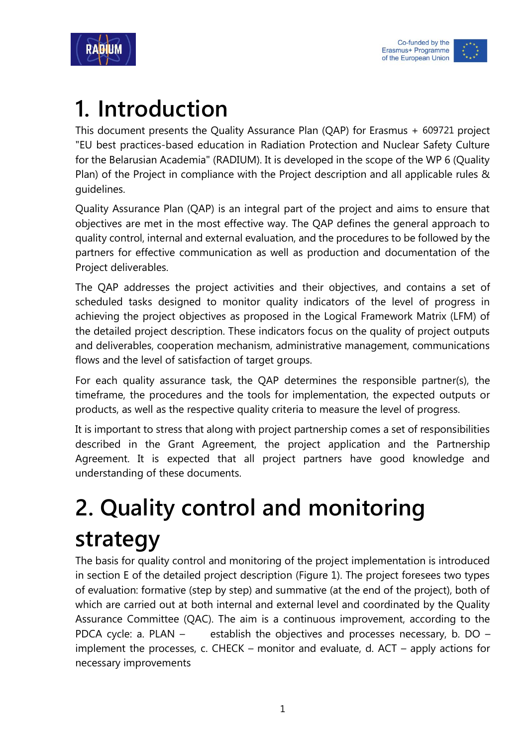



## <span id="page-3-0"></span>**1. Introduction**

This document presents the Quality Assurance Plan (QAP) for Erasmus + 609721 project "EU best practices-based education in Radiation Protection and Nuclear Safety Culture for the Belarusian Academia" (RADIUM). It is developed in the scope of the WP 6 (Quality Plan) of the Project in compliance with the Project description and all applicable rules & guidelines.

Quality Assurance Plan (QAP) is an integral part of the project and aims to ensure that objectives are met in the most effective way. The QAP defines the general approach to quality control, internal and external evaluation, and the procedures to be followed by the partners for effective communication as well as production and documentation of the Project deliverables.

The QAP addresses the project activities and their objectives, and contains a set of scheduled tasks designed to monitor quality indicators of the level of progress in achieving the project objectives as proposed in the Logical Framework Matrix (LFM) of the detailed project description. These indicators focus on the quality of project outputs and deliverables, cooperation mechanism, administrative management, communications flows and the level of satisfaction of target groups.

For each quality assurance task, the QAP determines the responsible partner(s), the timeframe, the procedures and the tools for implementation, the expected outputs or products, as well as the respective quality criteria to measure the level of progress.

It is important to stress that along with project partnership comes a set of responsibilities described in the Grant Agreement, the project application and the Partnership Agreement. It is expected that all project partners have good knowledge and understanding of these documents.

# <span id="page-3-1"></span>**2. Quality control and monitoring strategy**

The basis for quality control and monitoring of the project implementation is introduced in section E of the detailed project description (Figure 1). The project foresees two types of evaluation: formative (step by step) and summative (at the end of the project), both of which are carried out at both internal and external level and coordinated by the Quality Assurance Committee (QAC). The aim is a continuous improvement, according to the PDCA cycle: a. PLAN – establish the objectives and processes necessary, b. DO – implement the processes, c. CHECK – monitor and evaluate, d. ACT – apply actions for necessary improvements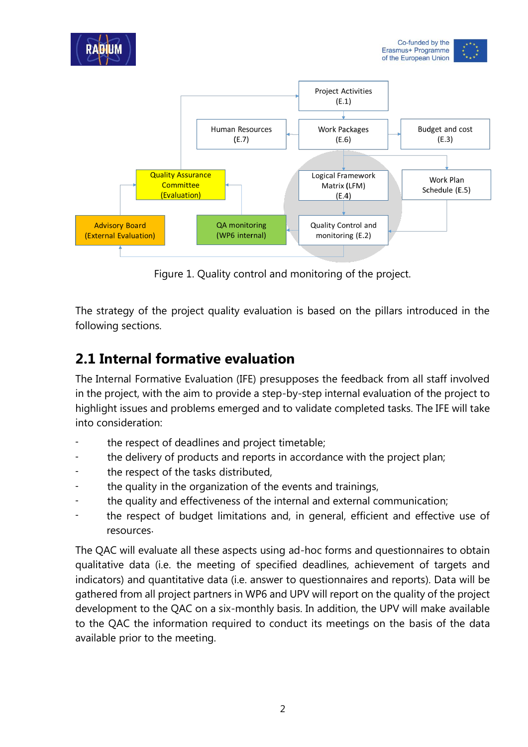

Figure 1. Quality control and monitoring of the project.

The strategy of the project quality evaluation is based on the pillars introduced in the following sections.

#### <span id="page-4-0"></span>**2.1 Internal formative evaluation**

The Internal Formative Evaluation (IFE) presupposes the feedback from all staff involved in the project, with the aim to provide a step-by-step internal evaluation of the project to highlight issues and problems emerged and to validate completed tasks. The IFE will take into consideration:

- the respect of deadlines and project timetable;
- the delivery of products and reports in accordance with the project plan;
- the respect of the tasks distributed,
- the quality in the organization of the events and trainings,
- the quality and effectiveness of the internal and external communication;
- the respect of budget limitations and, in general, efficient and effective use of resources.

The QAC will evaluate all these aspects using ad-hoc forms and questionnaires to obtain qualitative data (i.e. the meeting of specified deadlines, achievement of targets and indicators) and quantitative data (i.e. answer to questionnaires and reports). Data will be gathered from all project partners in WP6 and UPV will report on the quality of the project development to the QAC on a six-monthly basis. In addition, the UPV will make available to the QAC the information required to conduct its meetings on the basis of the data available prior to the meeting.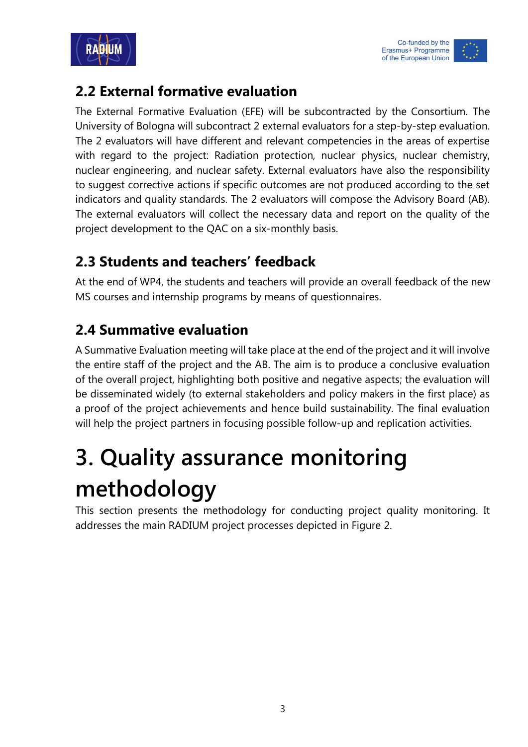



#### <span id="page-5-0"></span>**2.2 External formative evaluation**

The External Formative Evaluation (EFE) will be subcontracted by the Consortium. The University of Bologna will subcontract 2 external evaluators for a step-by-step evaluation. The 2 evaluators will have different and relevant competencies in the areas of expertise with regard to the project: Radiation protection, nuclear physics, nuclear chemistry, nuclear engineering, and nuclear safety. External evaluators have also the responsibility to suggest corrective actions if specific outcomes are not produced according to the set indicators and quality standards. The 2 evaluators will compose the Advisory Board (AB). The external evaluators will collect the necessary data and report on the quality of the project development to the QAC on a six-monthly basis.

#### <span id="page-5-1"></span>**2.3 Students and teachers' feedback**

At the end of WP4, the students and teachers will provide an overall feedback of the new MS courses and internship programs by means of questionnaires.

#### <span id="page-5-2"></span>**2.4 Summative evaluation**

A Summative Evaluation meeting will take place at the end of the project and it will involve the entire staff of the project and the AB. The aim is to produce a conclusive evaluation of the overall project, highlighting both positive and negative aspects; the evaluation will be disseminated widely (to external stakeholders and policy makers in the first place) as a proof of the project achievements and hence build sustainability. The final evaluation will help the project partners in focusing possible follow-up and replication activities.

# <span id="page-5-3"></span>**3. Quality assurance monitoring methodology**

This section presents the methodology for conducting project quality monitoring. It addresses the main RADIUM project processes depicted in Figure 2.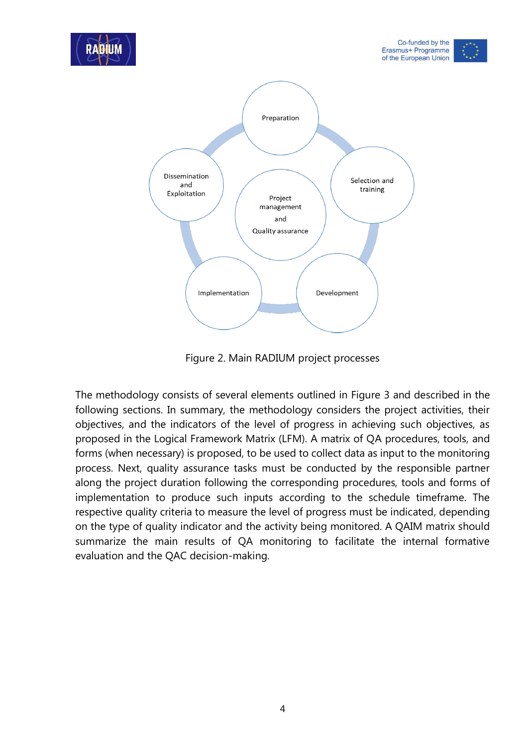

Figure 2. Main RADIUM project processes

The methodology consists of several elements outlined in Figure 3 and described in the following sections. In summary, the methodology considers the project activities, their objectives, and the indicators of the level of progress in achieving such objectives, as proposed in the Logical Framework Matrix (LFM). A matrix of QA procedures, tools, and forms (when necessary) is proposed, to be used to collect data as input to the monitoring process. Next, quality assurance tasks must be conducted by the responsible partner along the project duration following the corresponding procedures, tools and forms of implementation to produce such inputs according to the schedule timeframe. The respective quality criteria to measure the level of progress must be indicated, depending on the type of quality indicator and the activity being monitored. A QAIM matrix should summarize the main results of QA monitoring to facilitate the internal formative evaluation and the QAC decision-making.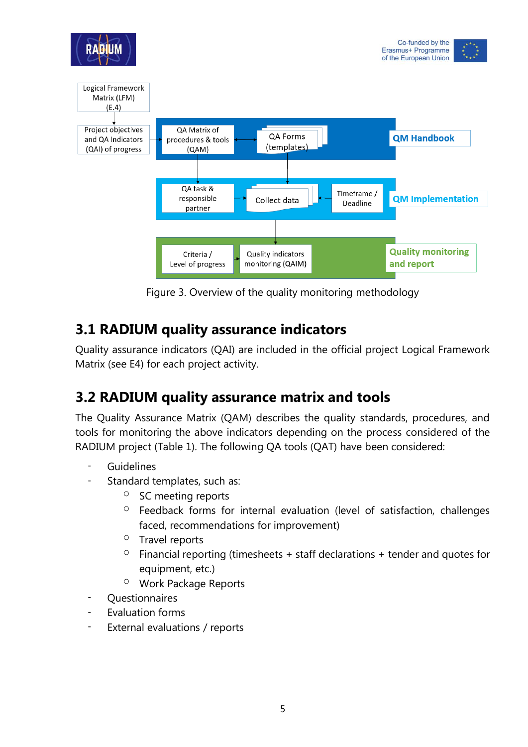

Figure 3. Overview of the quality monitoring methodology

#### <span id="page-7-0"></span>**3.1 RADIUM quality assurance indicators**

Quality assurance indicators (QAI) are included in the official project Logical Framework Matrix (see E4) for each project activity.

#### <span id="page-7-1"></span>**3.2 RADIUM quality assurance matrix and tools**

The Quality Assurance Matrix (QAM) describes the quality standards, procedures, and tools for monitoring the above indicators depending on the process considered of the RADIUM project (Table 1). The following QA tools (QAT) have been considered:

- Guidelines
- Standard templates, such as:
	- o SC meeting reports
	- <sup>o</sup> Feedback forms for internal evaluation (level of satisfaction, challenges faced, recommendations for improvement)
	- o Travel reports
	- $\degree$  Financial reporting (timesheets + staff declarations + tender and quotes for equipment, etc.)
	- o Work Package Reports
- **Questionnaires**
- Evaluation forms
- External evaluations / reports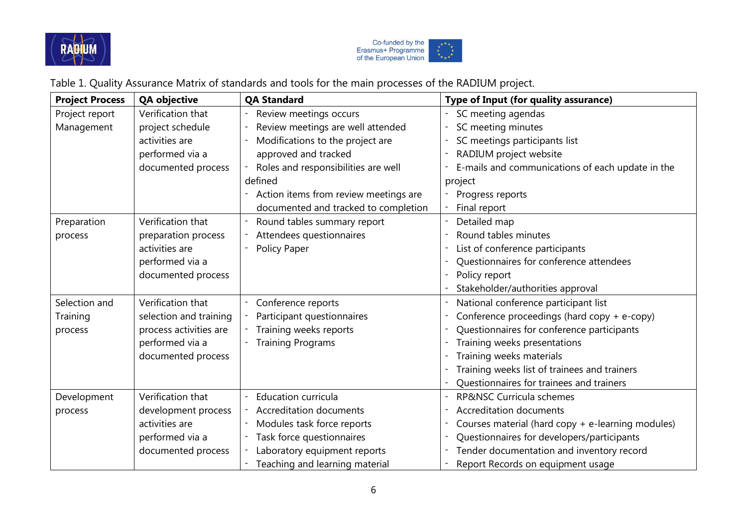



Table 1. Quality Assurance Matrix of standards and tools for the main processes of the RADIUM project.

| <b>Project Process</b> | <b>QA objective</b>    | <b>QA Standard</b>                    | <b>Type of Input (for quality assurance)</b>      |
|------------------------|------------------------|---------------------------------------|---------------------------------------------------|
| Project report         | Verification that      | Review meetings occurs                | SC meeting agendas                                |
| Management             | project schedule       | Review meetings are well attended     | SC meeting minutes                                |
|                        | activities are         | Modifications to the project are      | SC meetings participants list                     |
|                        | performed via a        | approved and tracked                  | RADIUM project website                            |
|                        | documented process     | Roles and responsibilities are well   | E-mails and communications of each update in the  |
|                        |                        | defined                               | project                                           |
|                        |                        | Action items from review meetings are | Progress reports                                  |
|                        |                        | documented and tracked to completion  | Final report                                      |
| Preparation            | Verification that      | Round tables summary report           | Detailed map                                      |
| process                | preparation process    | Attendees questionnaires              | Round tables minutes                              |
|                        | activities are         | Policy Paper                          | List of conference participants                   |
|                        | performed via a        |                                       | Questionnaires for conference attendees           |
|                        | documented process     |                                       | Policy report                                     |
|                        |                        |                                       | Stakeholder/authorities approval                  |
| Selection and          | Verification that      | Conference reports                    | National conference participant list              |
| Training               | selection and training | Participant questionnaires            | Conference proceedings (hard copy + e-copy)       |
| process                | process activities are | Training weeks reports                | Questionnaires for conference participants        |
|                        | performed via a        | <b>Training Programs</b>              | Training weeks presentations                      |
|                        | documented process     |                                       | Training weeks materials                          |
|                        |                        |                                       | Training weeks list of trainees and trainers      |
|                        |                        |                                       | Questionnaires for trainees and trainers          |
| Development            | Verification that      | <b>Education curricula</b>            | RP&NSC Curricula schemes                          |
| process                | development process    | Accreditation documents               | <b>Accreditation documents</b>                    |
|                        | activities are         | Modules task force reports            | Courses material (hard copy + e-learning modules) |
|                        | performed via a        | Task force questionnaires             | Questionnaires for developers/participants        |
|                        | documented process     | Laboratory equipment reports          | Tender documentation and inventory record         |
|                        |                        | Teaching and learning material        | Report Records on equipment usage                 |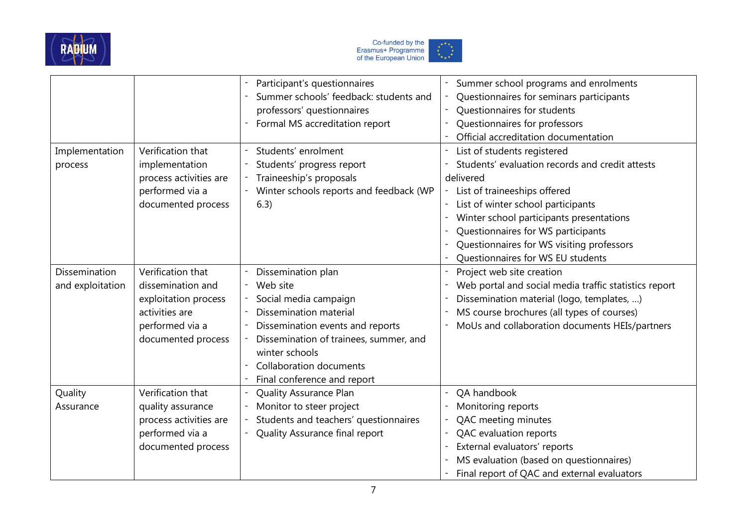



|                      |                        | Participant's questionnaires            | Summer school programs and enrolments                 |
|----------------------|------------------------|-----------------------------------------|-------------------------------------------------------|
|                      |                        | Summer schools' feedback: students and  | Questionnaires for seminars participants              |
|                      |                        | professors' questionnaires              | Questionnaires for students                           |
|                      |                        | Formal MS accreditation report          | Questionnaires for professors                         |
|                      |                        |                                         | Official accreditation documentation                  |
| Implementation       | Verification that      | Students' enrolment                     | List of students registered                           |
| process              | implementation         | Students' progress report               | Students' evaluation records and credit attests       |
|                      | process activities are | Traineeship's proposals                 | delivered                                             |
|                      | performed via a        | Winter schools reports and feedback (WP | List of traineeships offered                          |
|                      | documented process     | 6.3)                                    | List of winter school participants                    |
|                      |                        |                                         | Winter school participants presentations              |
|                      |                        |                                         | Questionnaires for WS participants                    |
|                      |                        |                                         | Questionnaires for WS visiting professors             |
|                      |                        |                                         | Questionnaires for WS EU students                     |
| <b>Dissemination</b> | Verification that      | Dissemination plan                      | Project web site creation                             |
| and exploitation     | dissemination and      | Web site                                | Web portal and social media traffic statistics report |
|                      | exploitation process   | Social media campaign                   | Dissemination material (logo, templates, )            |
|                      | activities are         | Dissemination material                  | MS course brochures (all types of courses)            |
|                      | performed via a        | Dissemination events and reports        | MoUs and collaboration documents HEIs/partners        |
|                      | documented process     | Dissemination of trainees, summer, and  |                                                       |
|                      |                        | winter schools                          |                                                       |
|                      |                        | <b>Collaboration documents</b>          |                                                       |
|                      |                        | Final conference and report             |                                                       |
| Quality              | Verification that      | Quality Assurance Plan                  | QA handbook                                           |
| Assurance            | quality assurance      | Monitor to steer project                | Monitoring reports                                    |
|                      | process activities are | Students and teachers' questionnaires   | QAC meeting minutes                                   |
|                      | performed via a        | Quality Assurance final report          | QAC evaluation reports                                |
|                      | documented process     |                                         | External evaluators' reports                          |
|                      |                        |                                         | MS evaluation (based on questionnaires)               |
|                      |                        |                                         | Final report of QAC and external evaluators           |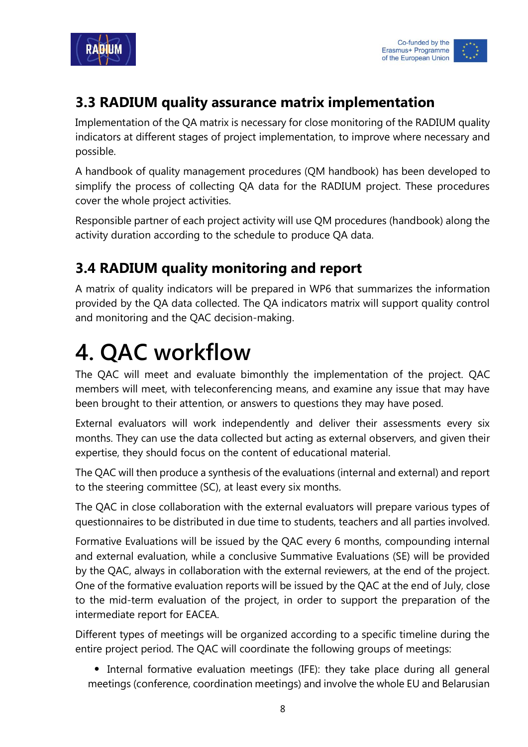



#### <span id="page-10-0"></span>**3.3 RADIUM quality assurance matrix implementation**

Implementation of the QA matrix is necessary for close monitoring of the RADIUM quality indicators at different stages of project implementation, to improve where necessary and possible.

A handbook of quality management procedures (QM handbook) has been developed to simplify the process of collecting QA data for the RADIUM project. These procedures cover the whole project activities.

Responsible partner of each project activity will use QM procedures (handbook) along the activity duration according to the schedule to produce QA data.

#### <span id="page-10-1"></span>**3.4 RADIUM quality monitoring and report**

A matrix of quality indicators will be prepared in WP6 that summarizes the information provided by the QA data collected. The QA indicators matrix will support quality control and monitoring and the QAC decision-making.

## <span id="page-10-2"></span>**4. QAC workflow**

The QAC will meet and evaluate bimonthly the implementation of the project. QAC members will meet, with teleconferencing means, and examine any issue that may have been brought to their attention, or answers to questions they may have posed.

External evaluators will work independently and deliver their assessments every six months. They can use the data collected but acting as external observers, and given their expertise, they should focus on the content of educational material.

The QAC will then produce a synthesis of the evaluations (internal and external) and report to the steering committee (SC), at least every six months.

The QAC in close collaboration with the external evaluators will prepare various types of questionnaires to be distributed in due time to students, teachers and all parties involved.

Formative Evaluations will be issued by the QAC every 6 months, compounding internal and external evaluation, while a conclusive Summative Evaluations (SE) will be provided by the QAC, always in collaboration with the external reviewers, at the end of the project. One of the formative evaluation reports will be issued by the QAC at the end of July, close to the mid-term evaluation of the project, in order to support the preparation of the intermediate report for EACEA.

Different types of meetings will be organized according to a specific timeline during the entire project period. The QAC will coordinate the following groups of meetings:

 Internal formative evaluation meetings (IFE): they take place during all general meetings (conference, coordination meetings) and involve the whole EU and Belarusian